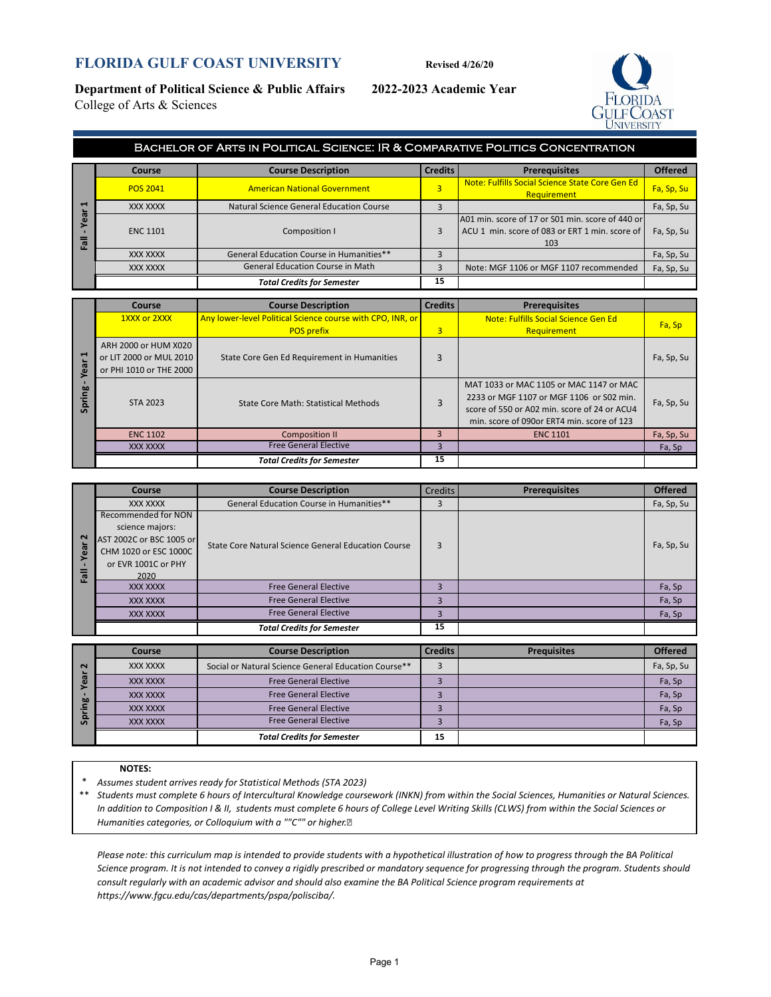## **FLORIDA GULF COAST UNIVERSITY Revised 4/26/20**

**Department of Political Science & Public Affairs 2022-2023 Academic Year** College of Arts & Sciences



|                   | BACHELOR OF ARTS IN POLITICAL SCIENCE: IR & COMPARATIVE POLITICS CONCENTRATION |                                          |                |                                                                                                           |                |  |  |  |
|-------------------|--------------------------------------------------------------------------------|------------------------------------------|----------------|-----------------------------------------------------------------------------------------------------------|----------------|--|--|--|
|                   | Course                                                                         | <b>Course Description</b>                | <b>Credits</b> | <b>Prerequisites</b>                                                                                      | <b>Offered</b> |  |  |  |
|                   | <b>POS 2041</b>                                                                | <b>American National Government</b>      | 3              | Note: Fulfills Social Science State Core Gen Ed<br>Requirement                                            | Fa, Sp, Su     |  |  |  |
| $\blacksquare$    | XXX XXXX                                                                       | Natural Science General Education Course |                |                                                                                                           | Fa, Sp, Su     |  |  |  |
| œ<br>$\mathbf{r}$ | <b>ENC 1101</b>                                                                | Composition I                            | 3              | A01 min. score of 17 or S01 min. score of 440 or<br>ACU 1 min. score of 083 or ERT 1 min. score of<br>103 | Fa, Sp, Su     |  |  |  |
|                   | <b>XXX XXXX</b>                                                                | General Education Course in Humanities** |                |                                                                                                           | Fa, Sp, Su     |  |  |  |
|                   | XXX XXXX                                                                       | <b>General Education Course in Math</b>  |                | Note: MGF 1106 or MGF 1107 recommended                                                                    | Fa, Sp, Su     |  |  |  |
|                   |                                                                                | <b>Total Credits for Semester</b>        | 15             |                                                                                                           |                |  |  |  |

| −                                                 | XXX XXXX                                                                   | Natural Science General Education Course                   | 3              |                                                                                                                                                                                   | Fa, Sp, Su |
|---------------------------------------------------|----------------------------------------------------------------------------|------------------------------------------------------------|----------------|-----------------------------------------------------------------------------------------------------------------------------------------------------------------------------------|------------|
| ear<br><b>Fall</b>                                | <b>ENC 1101</b>                                                            | Composition I                                              | 3              | A01 min. score of 17 or S01 min. score of 440 or<br>ACU 1 min. score of 083 or ERT 1 min. score of<br>103                                                                         | Fa, Sp, Su |
|                                                   | XXX XXXX                                                                   | General Education Course in Humanities**                   | 3              |                                                                                                                                                                                   | Fa, Sp, Su |
|                                                   | XXX XXXX                                                                   | <b>General Education Course in Math</b>                    | 3              | Note: MGF 1106 or MGF 1107 recommended                                                                                                                                            | Fa, Sp, Su |
|                                                   |                                                                            | <b>Total Credits for Semester</b>                          | 15             |                                                                                                                                                                                   |            |
|                                                   |                                                                            |                                                            | <b>Credits</b> |                                                                                                                                                                                   |            |
|                                                   | <b>Course</b>                                                              | <b>Course Description</b>                                  |                | <b>Prerequisites</b>                                                                                                                                                              |            |
|                                                   | 1XXX or 2XXX                                                               | Any lower-level Political Science course with CPO, INR, or |                | <b>Note: Fulfills Social Science Gen Ed</b>                                                                                                                                       | Fa, Sp     |
|                                                   |                                                                            | <b>POS prefix</b>                                          | $\overline{3}$ | Requirement                                                                                                                                                                       |            |
| $\blacksquare$<br>$\overline{\phantom{a}}$<br>Yea | ARH 2000 or HUM X020<br>or LIT 2000 or MUL 2010<br>or PHI 1010 or THE 2000 | State Core Gen Ed Requirement in Humanities                | 3              |                                                                                                                                                                                   | Fa, Sp, Su |
| Spring                                            | <b>STA 2023</b>                                                            | <b>State Core Math: Statistical Methods</b>                | 3              | MAT 1033 or MAC 1105 or MAC 1147 or MAC<br>2233 or MGF 1107 or MGF 1106 or S02 min.<br>score of 550 or A02 min. score of 24 or ACU4<br>min. score of 090or ERT4 min. score of 123 | Fa, Sp, Su |
|                                                   |                                                                            | <b>Composition II</b>                                      | 3              | <b>ENC 1101</b>                                                                                                                                                                   | Fa, Sp, Su |
|                                                   | <b>ENC 1102</b>                                                            |                                                            |                |                                                                                                                                                                                   |            |
|                                                   | <b>XXX XXXX</b>                                                            | <b>Free General Elective</b>                               | 3              |                                                                                                                                                                                   | Fa, Sp     |

|                   | Course                   | <b>Course Description</b>                           | <b>Credits</b> | <b>Prerequisites</b> | <b>Offered</b> |
|-------------------|--------------------------|-----------------------------------------------------|----------------|----------------------|----------------|
|                   | XXX XXXX                 | General Education Course in Humanities**            |                |                      | Fa, Sp, Su     |
|                   | Recommended for NON      |                                                     |                |                      |                |
|                   | science majors:          |                                                     |                |                      |                |
| $\mathbf{\Omega}$ | AST 2002C or BSC 1005 or | State Core Natural Science General Education Course | 3              |                      | Fa, Sp, Su     |
| ෂී                | CHM 1020 or ESC 1000C    |                                                     |                |                      |                |
|                   | or EVR 1001C or PHY      |                                                     |                |                      |                |
| 高                 | 2020                     |                                                     |                |                      |                |
|                   | <b>XXX XXXX</b>          | <b>Free General Elective</b>                        |                |                      | Fa, Sp         |
|                   | <b>XXX XXXX</b>          | <b>Free General Elective</b>                        | 3              |                      | Fa, Sp         |
|                   | <b>XXX XXXX</b>          | <b>Free General Elective</b>                        | 3              |                      | Fa, Sp         |
|                   |                          | <b>Total Credits for Semester</b>                   | 15             |                      |                |

| $\sim$ | Course          | <b>Course Description</b>                            | <b>Credits</b> | <b>Prequisites</b> | <b>Offered</b> |
|--------|-----------------|------------------------------------------------------|----------------|--------------------|----------------|
|        | XXX XXXX        | Social or Natural Science General Education Course** |                |                    | Fa, Sp, Su     |
|        | <b>XXX XXXX</b> | <b>Free General Elective</b>                         |                |                    | Fa, Sp         |
| 60     | XXX XXXX        | <b>Free General Elective</b>                         |                |                    | Fa, Sp         |
|        | XXX XXXX        | <b>Free General Elective</b>                         |                |                    | Fa, Sp         |
|        | XXX XXXX        | <b>Free General Elective</b>                         |                |                    | Fa, Sp         |
|        |                 | <b>Total Credits for Semester</b>                    | 15             |                    |                |

### **NOTES:**

\* *Assumes student arrives ready for Statistical Methods (STA 2023)*

\*\* *Students must complete 6 hours of Intercultural Knowledge coursework (INKN) from within the Social Sciences, Humanities or Natural Sciences. In addition to Composition I & II, students must complete 6 hours of College Level Writing Skills (CLWS) from within the Social Sciences or Humanities categories, or Colloquium with a ""C"" or higher.* 

*Please note: this curriculum map is intended to provide students with a hypothetical illustration of how to progress through the BA Political Science program. It is not intended to convey a rigidly prescribed or mandatory sequence for progressing through the program. Students should consult regularly with an academic advisor and should also examine the BA Political Science program requirements at https://www.fgcu.edu/cas/departments/pspa/polisciba/.*